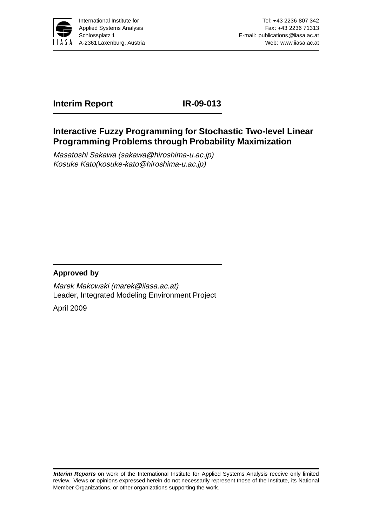

# **Interim Report IR-09-013**

# **Interactive Fuzzy Programming for Stochastic Two-level Linear Programming Problems through Probability Maximization**

Masatoshi Sakawa (sakawa@hiroshima-u.ac.jp) Kosuke Kato(kosuke-kato@hiroshima-u.ac.jp)

### **Approved by**

Marek Makowski (marek@iiasa.ac.at) Leader, Integrated Modeling Environment Project

April 2009

**Interim Reports** on work of the International Institute for Applied Systems Analysis receive only limited review. Views or opinions expressed herein do not necessarily represent those of the Institute, its National Member Organizations, or other organizations supporting the work.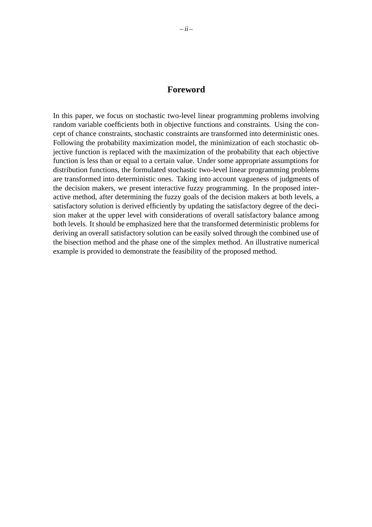#### **Foreword**

In this paper, we focus on stochastic two-level linear programming problems involving random variable coefficients both in objective functions and constraints. Using the concept of chance constraints, stochastic constraints are transformed into deterministic ones. Following the probability maximization model, the minimization of each stochastic objective function is replaced with the maximization of the probability that each objective function is less than or equal to a certain value. Under some appropriate assumptions for distribution functions, the formulated stochastic two-level linear programming problems are transformed into deterministic ones. Taking into account vagueness of judgments of the decision makers, we present interactive fuzzy programming. In the proposed interactive method, after determining the fuzzy goals of the decision makers at both levels, a satisfactory solution is derived efficiently by updating the satisfactory degree of the decision maker at the upper level with considerations of overall satisfactory balance among both levels. It should be emphasized here that the transformed deterministic problems for deriving an overall satisfactory solution can be easily solved through the combined use of the bisection method and the phase one of the simplex method. An illustrative numerical example is provided to demonstrate the feasibility of the proposed method.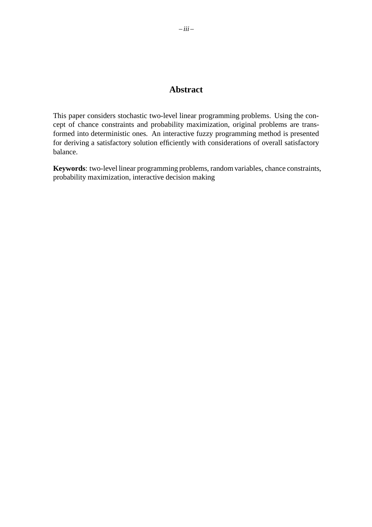### **Abstract**

This paper considers stochastic two-level linear programming problems. Using the concept of chance constraints and probability maximization, original problems are transformed into deterministic ones. An interactive fuzzy programming method is presented for deriving a satisfactory solution efficiently with considerations of overall satisfactory balance.

**Keywords**: two-level linear programming problems, random variables, chance constraints, probability maximization, interactive decision making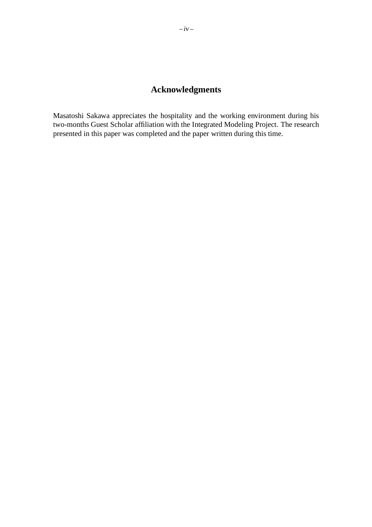# **Acknowledgments**

Masatoshi Sakawa appreciates the hospitality and the working environment during his two-months Guest Scholar affiliation with the Integrated Modeling Project. The research presented in this paper was completed and the paper written during this time.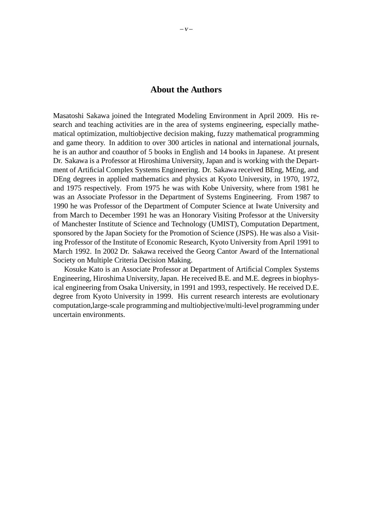#### **About the Authors**

Masatoshi Sakawa joined the Integrated Modeling Environment in April 2009. His research and teaching activities are in the area of systems engineering, especially mathematical optimization, multiobjective decision making, fuzzy mathematical programming and game theory. In addition to over 300 articles in national and international journals, he is an author and coauthor of 5 books in English and 14 books in Japanese. At present Dr. Sakawa is a Professor at Hiroshima University, Japan and is working with the Department of Artificial Complex Systems Engineering. Dr. Sakawa received BEng, MEng, and DEng degrees in applied mathematics and physics at Kyoto University, in 1970, 1972, and 1975 respectively. From 1975 he was with Kobe University, where from 1981 he was an Associate Professor in the Department of Systems Engineering. From 1987 to 1990 he was Professor of the Department of Computer Science at Iwate University and from March to December 1991 he was an Honorary Visiting Professor at the University of Manchester Institute of Science and Technology (UMIST), Computation Department, sponsored by the Japan Society for the Promotion of Science (JSPS). He was also a Visiting Professor of the Institute of Economic Research, Kyoto University from April 1991 to March 1992. In 2002 Dr. Sakawa received the Georg Cantor Award of the International Society on Multiple Criteria Decision Making.

Kosuke Kato is an Associate Professor at Department of Artificial Complex Systems Engineering, Hiroshima University, Japan. He received B.E. and M.E. degrees in biophysical engineering from Osaka University, in 1991 and 1993, respectively. He received D.E. degree from Kyoto University in 1999. His current research interests are evolutionary computation,large-scale programming and multiobjective/multi-level programming under uncertain environments.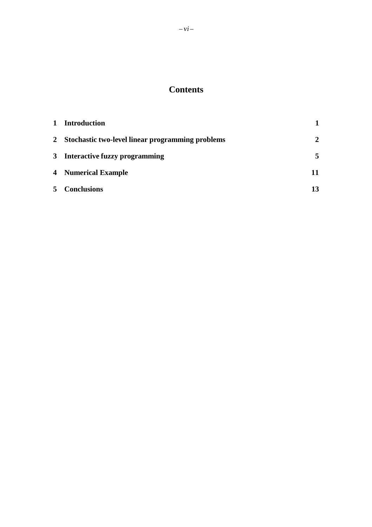# **Contents**

| $\mathbf 1$ | <b>Introduction</b>                                |              |
|-------------|----------------------------------------------------|--------------|
|             | 2 Stochastic two-level linear programming problems | $\mathbf{2}$ |
|             | 3 Interactive fuzzy programming                    | 5            |
|             | <b>4</b> Numerical Example                         | 11           |
|             | 5 Conclusions                                      |              |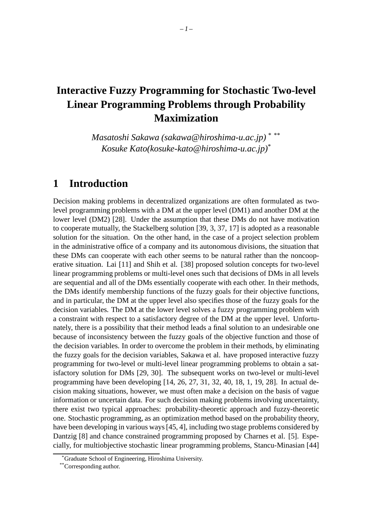# **Interactive Fuzzy Programming for Stochastic Two-level Linear Programming Problems through Probability Maximization**

*Masatoshi Sakawa (sakawa@hiroshima-u.ac.jp)* \* \*\* *Kosuke Kato(kosuke-kato@hiroshima-u.ac.jp)*\*

## **1 Introduction**

Decision making problems in decentralized organizations are often formulated as twolevel programming problems with a DM at the upper level (DM1) and another DM at the lower level (DM2) [28]. Under the assumption that these DMs do not have motivation to cooperate mutually, the Stackelberg solution [39, 3, 37, 17] is adopted as a reasonable solution for the situation. On the other hand, in the case of a project selection problem in the administrative office of a company and its autonomous divisions, the situation that these DMs can cooperate with each other seems to be natural rather than the noncooperative situation. Lai [11] and Shih et al. [38] proposed solution concepts for two-level linear programming problems or multi-level ones such that decisions of DMs in all levels are sequential and all of the DMs essentially cooperate with each other. In their methods, the DMs identify membership functions of the fuzzy goals for their objective functions, and in particular, the DM at the upper level also specifies those of the fuzzy goals for the decision variables. The DM at the lower level solves a fuzzy programming problem with a constraint with respect to a satisfactory degree of the DM at the upper level. Unfortunately, there is a possibility that their method leads a final solution to an undesirable one because of inconsistency between the fuzzy goals of the objective function and those of the decision variables. In order to overcome the problem in their methods, by eliminating the fuzzy goals for the decision variables, Sakawa et al. have proposed interactive fuzzy programming for two-level or multi-level linear programming problems to obtain a satisfactory solution for DMs [29, 30]. The subsequent works on two-level or multi-level programming have been developing [14, 26, 27, 31, 32, 40, 18, 1, 19, 28]. In actual decision making situations, however, we must often make a decision on the basis of vague information or uncertain data. For such decision making problems involving uncertainty, there exist two typical approaches: probability-theoretic approach and fuzzy-theoretic one. Stochastic programming, as an optimization method based on the probability theory, have been developing in various ways [45, 4], including two stage problems considered by Dantzig [8] and chance constrained programming proposed by Charnes et al. [5]. Especially, for multiobjective stochastic linear programming problems, Stancu-Minasian [44]

Graduate School of Engineering, Hiroshima University.

<sup>\*\*</sup>Corresponding author.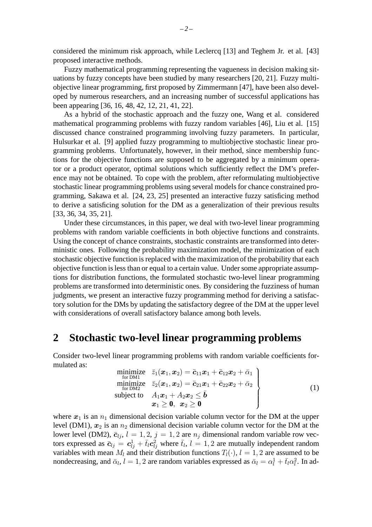considered the minimum risk approach, while Leclercq [13] and Teghem Jr. et al. [43] proposed interactive methods.

Fuzzy mathematical programming representing the vagueness in decision making situations by fuzzy concepts have been studied by many researchers [20, 21]. Fuzzy multiobjective linear programming, first proposed by Zimmermann [47], have been also developed by numerous researchers, and an increasing number of successful applications has been appearing [36, 16, 48, 42, 12, 21, 41, 22].

As a hybrid of the stochastic approach and the fuzzy one, Wang et al. considered mathematical programming problems with fuzzy random variables [46], Liu et al. [15] discussed chance constrained programming involving fuzzy parameters. In particular, Hulsurkar et al. [9] applied fuzzy programming to multiobjective stochastic linear programming problems. Unfortunately, however, in their method, since membership functions for the objective functions are supposed to be aggregated by a minimum operator or a product operator, optimal solutions which sufficiently reflect the DM's preference may not be obtained. To cope with the problem, after reformulating multiobjective stochastic linear programming problems using several models for chance constrained programming, Sakawa et al. [24, 23, 25] presented an interactive fuzzy satisficing method to derive a satisficing solution for the DM as a generalization of their previous results [33, 36, 34, 35, 21].

Under these circumstances, in this paper, we deal with two-level linear programming problems with random variable coefficients in both objective functions and constraints. Using the concept of chance constraints, stochastic constraints are transformed into deterministic ones. Following the probability maximization model, the minimization of each stochastic objective function is replaced with the maximization of the probability that each objective function is less than or equal to a certain value. Under some appropriate assumptions for distribution functions, the formulated stochastic two-level linear programming problems are transformed into deterministic ones. By considering the fuzziness of human judgments, we present an interactive fuzzy programming method for deriving a satisfactory solution for the DMs by updating the satisfactory degree of the DM at the upper level with considerations of overall satisfactory balance among both levels.

## **2 Stochastic two-level linear programming problems**

Consider two-level linear programming problems with random variable coefficients formulated as:

$$
\begin{array}{ll}\n\text{minimize} & \bar{z}_1(\boldsymbol{x}_1, \boldsymbol{x}_2) = \bar{c}_{11}\boldsymbol{x}_1 + \bar{c}_{12}\boldsymbol{x}_2 + \bar{\alpha}_1 \\
\text{minimize} & \bar{z}_2(\boldsymbol{x}_1, \boldsymbol{x}_2) = \bar{c}_{21}\boldsymbol{x}_1 + \bar{c}_{22}\boldsymbol{x}_2 + \bar{\alpha}_2 \\
\text{subject to} & A_1\boldsymbol{x}_1 + A_2\boldsymbol{x}_2 \leq \bar{\boldsymbol{b}} \\
& \boldsymbol{x}_1 \geq \boldsymbol{0}, \ \boldsymbol{x}_2 \geq \boldsymbol{0}\n\end{array} \tag{1}
$$

where  $x_1$  is an  $n_1$  dimensional decision variable column vector for the DM at the upper level (DM1),  $x_2$  is an  $n_2$  dimensional decision variable column vector for the DM at the lower level (DM2),  $\bar{c}_{li}$ ,  $l = 1, 2, j = 1, 2$  are  $n_i$  dimensional random variable row vectors expressed as  $\bar{c}_{lj} = c_{lj}^1 + \bar{t}_l c_{lj}^2$  where  $\bar{t}_l$ ,  $l = 1, 2$  are mutually independent random variables with mean  $M_l$  and their distribution functions  $T_l(\cdot)$ ,  $l = 1, 2$  are assumed to be nondecreasing, and  $\bar{\alpha}_l$ ,  $l = 1, 2$  are random variables expressed as  $\bar{\alpha}_l = \alpha_l^1 + \bar{t}_l \alpha_l^2$ . In ad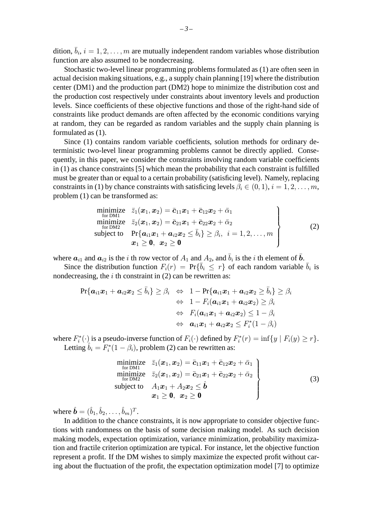dition,  $\bar{b}_i$ ,  $i = 1, 2, \ldots, m$  are mutually independent random variables whose distribution function are also assumed to be nondecreasing.

Stochastic two-level linear programming problems formulated as (1) are often seen in actual decision making situations, e.g., a supply chain planning [19] where the distribution center (DM1) and the production part (DM2) hope to minimize the distribution cost and the production cost respectively under constraints about inventory levels and production levels. Since coefficients of these objective functions and those of the right-hand side of constraints like product demands are often affected by the economic conditions varying at random, they can be regarded as random variables and the supply chain planning is formulated as (1).

Since (1) contains random variable coefficients, solution methods for ordinary deterministic two-level linear programming problems cannot be directly applied. Consequently, in this paper, we consider the constraints involving random variable coefficients in (1) as chance constraints [5] which mean the probability that each constraint is fulfilled must be greater than or equal to a certain probability (satisficing level). Namely, replacing constraints in (1) by chance constraints with satisficing levels  $\beta_i \in (0, 1), i = 1, 2, \ldots, m$ , problem (1) can be transformed as:

minimize 
$$
\bar{z}_1(\bm{x}_1, \bm{x}_2) = \bar{c}_{11}\bm{x}_1 + \bar{c}_{12}\bm{x}_2 + \bar{\alpha}_1
$$
  
\nminimize  $\bar{z}_2(\bm{x}_1, \bm{x}_2) = \bar{c}_{21}\bm{x}_1 + \bar{c}_{22}\bm{x}_2 + \bar{\alpha}_2$   
\nsubject to  $\Pr{\bm{a}_{i1}\bm{x}_1 + \bm{a}_{i2}\bm{x}_2 \leq \bar{b}_i} \geq \beta_i, \ i = 1, 2, ..., m$   
\n $\bm{x}_1 \geq \bm{0}, \ \bm{x}_2 \geq \bm{0}$  (2)

where  $a_{i1}$  and  $a_{i2}$  is the i th row vector of  $A_1$  and  $A_2$ , and  $\overline{b}_i$  is the i th element of  $\overline{b}$ .

Since the distribution function  $F_i(r) = Pr{\overline{b}_i \leq r}$  of each random variable  $\overline{b}_i$  is nondecreasing, the  $i$  th constraint in (2) can be rewritten as:

$$
\Pr{\boldsymbol{a}_{i1}x_1 + \boldsymbol{a}_{i2}x_2 \le \bar{b}_i} \ge \beta_i \Leftrightarrow 1 - \Pr{\boldsymbol{a}_{i1}x_1 + \boldsymbol{a}_{i2}x_2 \ge \bar{b}_i} \ge \beta_i
$$
  
\n
$$
\Leftrightarrow 1 - F_i(\boldsymbol{a}_{i1}x_1 + \boldsymbol{a}_{i2}x_2) \ge \beta_i
$$
  
\n
$$
\Leftrightarrow F_i(\boldsymbol{a}_{i1}x_1 + \boldsymbol{a}_{i2}x_2) \le 1 - \beta_i
$$
  
\n
$$
\Leftrightarrow \boldsymbol{a}_{i1}x_1 + \boldsymbol{a}_{i2}x_2 \le F_i^*(1 - \beta_i)
$$

where  $F_i^*(\cdot)$  is a pseudo-inverse function of  $F_i(\cdot)$  defined by  $F_i^*(r) = \inf\{y \mid F_i(y) \ge r\}.$ Letting  $\hat{b}_i = F_i^*(1 - \beta_i)$ , problem (2) can be rewritten as:

$$
\begin{array}{ll}\n\text{minimize} & \bar{z}_1(\boldsymbol{x}_1, \boldsymbol{x}_2) = \bar{c}_{11}\boldsymbol{x}_1 + \bar{c}_{12}\boldsymbol{x}_2 + \bar{\alpha}_1 \\
\text{minimize} & \bar{z}_2(\boldsymbol{x}_1, \boldsymbol{x}_2) = \bar{c}_{21}\boldsymbol{x}_1 + \bar{c}_{22}\boldsymbol{x}_2 + \bar{\alpha}_2 \\
\text{subject to} & A_1\boldsymbol{x}_1 + A_2\boldsymbol{x}_2 \leq \hat{\boldsymbol{b}} \\
& \boldsymbol{x}_1 \geq \boldsymbol{0}, \ \boldsymbol{x}_2 \geq \boldsymbol{0}\n\end{array} \tag{3}
$$

where  $\hat{\boldsymbol{b}} = (\hat{b}_1, \hat{b}_2, \dots, \hat{b}_m)^T$ .

In addition to the chance constraints, it is now appropriate to consider objective functions with randomness on the basis of some decision making model. As such decision making models, expectation optimization, variance minimization, probability maximization and fractile criterion optimization are typical. For instance, let the objective function represent a profit. If the DM wishes to simply maximize the expected profit without caring about the fluctuation of the profit, the expectation optimization model [7] to optimize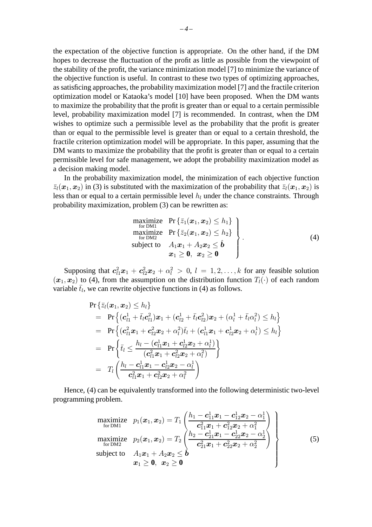the expectation of the objective function is appropriate. On the other hand, if the DM hopes to decrease the fluctuation of the profit as little as possible from the viewpoint of the stability of the profit, the variance minimization model [7] to minimize the variance of the objective function is useful. In contrast to these two types of optimizing approaches, as satisficing approaches, the probability maximization model [7] and the fractile criterion optimization model or Kataoka's model [10] have been proposed. When the DM wants to maximize the probability that the profit is greater than or equal to a certain permissible level, probability maximization model [7] is recommended. In contrast, when the DM wishes to optimize such a permissible level as the probability that the profit is greater than or equal to the permissible level is greater than or equal to a certain threshold, the fractile criterion optimization model will be appropriate. In this paper, assuming that the DM wants to maximize the probability that the profit is greater than or equal to a certain permissible level for safe management, we adopt the probability maximization model as a decision making model.

In the probability maximization model, the minimization of each objective function  $\bar{z}_l(x_1, x_2)$  in (3) is substituted with the maximization of the probability that  $\bar{z}_l(x_1, x_2)$  is less than or equal to a certain permissible level  $h_l$  under the chance constraints. Through probability maximization, problem (3) can be rewritten as:

$$
\begin{array}{c}\n\text{maximize} & \Pr\left\{\bar{z}_1(\boldsymbol{x}_1, \boldsymbol{x}_2) \leq h_1\right\} \\
\text{maximize} & \Pr\left\{\bar{z}_2(\boldsymbol{x}_1, \boldsymbol{x}_2) \leq h_2\right\} \\
\text{subject to} & A_1\boldsymbol{x}_1 + A_2\boldsymbol{x}_2 \leq \hat{\boldsymbol{b}} \\
& \boldsymbol{x}_1 \geq \boldsymbol{0}, \ \boldsymbol{x}_2 \geq \boldsymbol{0}\n\end{array} \tag{4}
$$

Supposing that  $c_{l1}^2 x_1 + c_{l2}^2 x_2 + \alpha_l^2 > 0$ ,  $l = 1, 2, ..., k$  for any feasible solution  $(x_1, x_2)$  to (4), from the assumption on the distribution function  $T_l(\cdot)$  of each random variable  $\bar{t}_l$ , we can rewrite objective functions in (4) as follows.

$$
\begin{aligned} &\Pr\left\{\bar{z}_l(\bm{x}_1,\bm{x}_2)\leq h_l\right\} \\ &= \quad & \Pr\left\{(\bm{c}_{l1}^1+\bar{t}_l\bm{c}_{l1}^2)\bm{x}_1+(\bm{c}_{l2}^1+\bar{t}_l\bm{c}_{l2}^2)\bm{x}_2+(\alpha_l^1+\bar{t}_l\alpha_l^2)\leq h_l\right\} \\ &= \quad & \Pr\left\{(\bm{c}_{l1}^2\bm{x}_1+\bm{c}_{l2}^2\bm{x}_2+\alpha_l^2)\bar{t}_l+(\bm{c}_{l1}^1\bm{x}_1+\bm{c}_{l2}^1\bm{x}_2+\alpha_l^1)\leq h_l\right\} \\ &= \quad & \Pr\left\{\bar{t}_l\leq \frac{h_l-(\bm{c}_{l1}^1\bm{x}_1+\bm{c}_{l2}^1\bm{x}_2+\alpha_l^1)}{(\bm{c}_{l1}^2\bm{x}_1+\bm{c}_{l2}^2\bm{x}_2+\alpha_l^2)}\right\} \\ &= \quad & T_l\left(\frac{h_l-\bm{c}_{l1}^1\bm{x}_1-\bm{c}_{l2}^1\bm{x}_2-\alpha_l^1}{\bm{c}_{l1}^2\bm{x}_1+\bm{c}_{l2}^2\bm{x}_2+\alpha_l^2}\right) \end{aligned}
$$

Hence, (4) can be equivalently transformed into the following deterministic two-level programming problem.

maximize 
$$
p_1(\mathbf{x}_1, \mathbf{x}_2) = T_1 \left( \frac{h_1 - c_{11}^1 \mathbf{x}_1 - c_{12}^1 \mathbf{x}_2 - \alpha_1^1}{c_{11}^2 \mathbf{x}_1 + c_{12}^2 \mathbf{x}_2 + \alpha_1^2} \right)
$$
  
\nmaximize  $p_2(\mathbf{x}_1, \mathbf{x}_2) = T_2 \left( \frac{h_2 - c_{21}^1 \mathbf{x}_1 - c_{22}^1 \mathbf{x}_2 - \alpha_2^1}{c_{21}^2 \mathbf{x}_1 + c_{22}^2 \mathbf{x}_2 + \alpha_2^2} \right)$   
\nsubject to  $A_1 \mathbf{x}_1 + A_2 \mathbf{x}_2 \leq \hat{\mathbf{b}}$   
\n $\mathbf{x}_1 \geq \mathbf{0}, \ \mathbf{x}_2 \geq \mathbf{0}$  (5)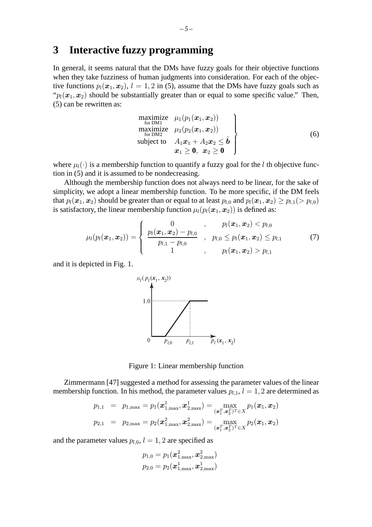# **3 Interactive fuzzy programming**

In general, it seems natural that the DMs have fuzzy goals for their objective functions when they take fuzziness of human judgments into consideration. For each of the objective functions  $p_l(x_1, x_2)$ ,  $l = 1, 2$  in (5), assume that the DMs have fuzzy goals such as " $p_l(x_1, x_2)$  should be substantially greater than or equal to some specific value." Then, (5) can be rewritten as:

$$
\begin{array}{ll}\n\text{maximize} & \mu_1(p_1(\boldsymbol{x}_1, \boldsymbol{x}_2)) \\
\text{for DM1} \\
\text{maximize} & \mu_2(p_2(\boldsymbol{x}_1, \boldsymbol{x}_2)) \\
\text{subject to} & A_1\boldsymbol{x}_1 + A_2\boldsymbol{x}_2 \leq \hat{\boldsymbol{b}} \\
& \boldsymbol{x}_1 \geq \boldsymbol{0}, \ \boldsymbol{x}_2 \geq \boldsymbol{0}\n\end{array}\n\tag{6}
$$

where  $\mu_l(\cdot)$  is a membership function to quantify a fuzzy goal for the l th objective function in (5) and it is assumed to be nondecreasing.

Although the membership function does not always need to be linear, for the sake of simplicity, we adopt a linear membership function. To be more specific, if the DM feels that  $p_l(x_1, x_2)$  should be greater than or equal to at least  $p_{l,0}$  and  $p_l(x_1, x_2) \ge p_{l,1} (> p_{l,0})$ is satisfactory, the linear membership function  $\mu_l(p_l(x_1, x_2))$  is defined as:

$$
\mu_l(p_l(\boldsymbol{x}_1, \boldsymbol{x}_2)) = \begin{cases}\n0 & , \quad p_l(\boldsymbol{x}_1, \boldsymbol{x}_2) < p_{l,0} \\
\frac{p_l(\boldsymbol{x}_1, \boldsymbol{x}_2) - p_{l,0}}{p_{l,1} - p_{l,0}} & , \quad p_{l,0} \leq p_l(\boldsymbol{x}_1, \boldsymbol{x}_2) \leq p_{l,1} \\
1 & , \quad p_l(\boldsymbol{x}_1, \boldsymbol{x}_2) > p_{l,1}\n\end{cases} (7)
$$

and it is depicted in Fig. 1.



Figure 1: Linear membership function

Zimmermann [47] suggested a method for assessing the parameter values of the linear membership function. In his method, the parameter values  $p_{l,1}$ ,  $l = 1, 2$  are determined as

$$
p_{1,1} = p_{1,\max} = p_1(\boldsymbol{x}_{1,\max}^1, \boldsymbol{x}_{2,\max}^1) = \max_{(\boldsymbol{x}_1^T, \boldsymbol{x}_2^T)^T \in X} p_1(\boldsymbol{x}_1, \boldsymbol{x}_2)
$$
  

$$
p_{2,1} = p_{2,\max} = p_2(\boldsymbol{x}_{1,\max}^2, \boldsymbol{x}_{2,\max}^2) = \max_{(\boldsymbol{x}_1^T, \boldsymbol{x}_2^T)^T \in X} p_2(\boldsymbol{x}_1, \boldsymbol{x}_2)
$$

and the parameter values  $p_{l,0}$ ,  $l = 1, 2$  are specified as

$$
p_{1,0} = p_1(\boldsymbol{x}_{1,\max}^2,\boldsymbol{x}_{2,\max}^2)\\p_{2,0} = p_2(\boldsymbol{x}_{1,\max}^1,\boldsymbol{x}_{2,\max}^1)
$$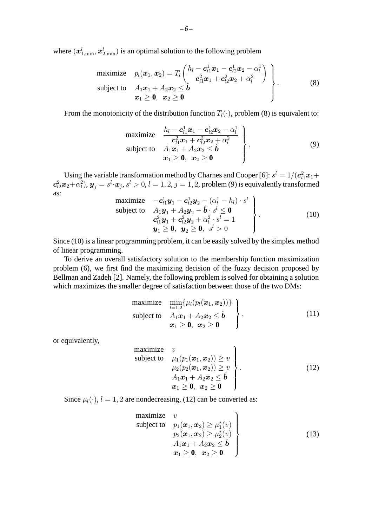where  $(\boldsymbol{x}_{1,\min}^l,\boldsymbol{x}_{2,\min}^l)$  is an optimal solution to the following problem

maximize 
$$
p_l(\boldsymbol{x}_1, \boldsymbol{x}_2) = T_l \left( \frac{h_l - \boldsymbol{c}_{l1}^1 \boldsymbol{x}_1 - \boldsymbol{c}_{l2}^1 \boldsymbol{x}_2 - \alpha_l^1}{\boldsymbol{c}_{l1}^2 \boldsymbol{x}_1 + \boldsymbol{c}_{l2}^2 \boldsymbol{x}_2 + \alpha_l^2} \right)
$$
  
subject to  $A_1 \boldsymbol{x}_1 + A_2 \boldsymbol{x}_2 \leq \hat{\boldsymbol{b}}$   
 $\boldsymbol{x}_1 \geq \boldsymbol{0}, \ \boldsymbol{x}_2 \geq \boldsymbol{0}$  (8)

From the monotonicity of the distribution function  $T_l(\cdot)$ , problem (8) is equivalent to:

maximize 
$$
\begin{array}{c}\n\frac{h_l - \mathbf{c}_{l1}^1 \mathbf{x}_1 - \mathbf{c}_{l2}^1 \mathbf{x}_2 - \alpha_l^1}{\mathbf{c}_{l1}^2 \mathbf{x}_1 + \mathbf{c}_{l2}^2 \mathbf{x}_2 + \alpha_l^2} \\
\text{subject to} \quad A_1 \mathbf{x}_1 + A_2 \mathbf{x}_2 \leq \hat{\mathbf{b}} \\
\mathbf{x}_1 \geq \mathbf{0}, \quad \mathbf{x}_2 \geq \mathbf{0}\n\end{array}
$$
\n
$$
(9)
$$

Using the variable transformation method by Charnes and Cooper [6]:  $s^l = 1/(\boldsymbol{c}_{l1}^2\boldsymbol{x}_1 +$  $\bm{c}_{l2}^2\bm{x}_2+\alpha_1^2), \bm{y}_j=s^l\!\cdot\!\bm{x}_j, s^l>0, l=1,2, j=1,2, \text{problem (9) is equivalently transformed}$ as:

maximize 
$$
-\mathbf{c}_{l1}^1 \mathbf{y}_1 - \mathbf{c}_{l2}^1 \mathbf{y}_2 - (\alpha_l^1 - h_l) \cdot s^l
$$
  
\nsubject to  $A_1 \mathbf{y}_1 + A_2 \mathbf{y}_2 - \hat{\mathbf{b}} \cdot s^l \leq \mathbf{0}$   
\n $\mathbf{c}_{l1}^2 \mathbf{y}_1 + \mathbf{c}_{l2}^2 \mathbf{y}_2 + \alpha_l^2 \cdot s^l = 1$   
\n $\mathbf{y}_1 \geq \mathbf{0}, \ \mathbf{y}_2 \geq \mathbf{0}, \ s^l > 0$  (10)

Since (10) is a linear programming problem, it can be easily solved by the simplex method of linear programming.

To derive an overall satisfactory solution to the membership function maximization problem (6), we first find the maximizing decision of the fuzzy decision proposed by Bellman and Zadeh [2]. Namely, the following problem is solved for obtaining a solution which maximizes the smaller degree of satisfaction between those of the two DMs:

maximize 
$$
\min_{l=1,2} \{\mu_l(p_l(\mathbf{x}_1, \mathbf{x}_2))\}
$$
  
\nsubject to  $A_1\mathbf{x}_1 + A_2\mathbf{x}_2 \leq \hat{\mathbf{b}}$   
\n $\mathbf{x}_1 \geq \mathbf{0}, \ \mathbf{x}_2 \geq \mathbf{0}$  (11)

or equivalently,

maximize 
$$
v
$$
  
\nsubject to  $\mu_1(p_1(\mathbf{x}_1, \mathbf{x}_2)) \ge v$   
\n $\mu_2(p_2(\mathbf{x}_1, \mathbf{x}_2)) \ge v$   
\n $A_1\mathbf{x}_1 + A_2\mathbf{x}_2 \le \hat{\boldsymbol{b}}$   
\n $\mathbf{x}_1 \ge \mathbf{0}, \ \mathbf{x}_2 \ge \mathbf{0}$  (12)

Since  $\mu_l(\cdot)$ ,  $l = 1, 2$  are nondecreasing, (12) can be converted as:

maximize 
$$
v
$$
  
\nsubject to  $p_1(\boldsymbol{x}_1, \boldsymbol{x}_2) \ge \mu_1^*(v)$   
\n $p_2(\boldsymbol{x}_1, \boldsymbol{x}_2) \ge \mu_2^*(v)$   
\n $A_1\boldsymbol{x}_1 + A_2\boldsymbol{x}_2 \le \hat{\boldsymbol{b}}$   
\n $\boldsymbol{x}_1 \ge \mathbf{0}, \ \boldsymbol{x}_2 \ge \mathbf{0}$  (13)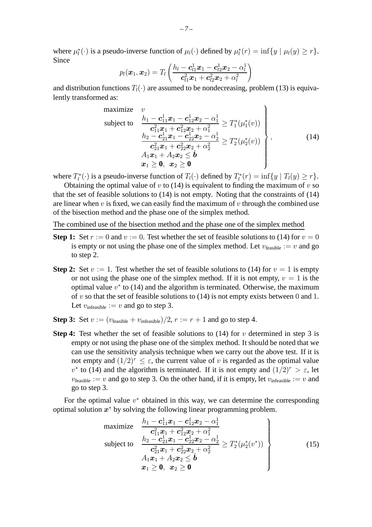where  $\mu_l^*(\cdot)$  is a pseudo-inverse function of  $\mu_l(\cdot)$  defined by  $\mu_l^*(r) = \inf\{y \mid \mu_l(y) \ge r\}.$ Since

$$
p_l(\boldsymbol{x}_1,\boldsymbol{x}_2) = T_l\left(\frac{h_l - \boldsymbol{c}_{l1}^1\boldsymbol{x}_1 - \boldsymbol{c}_{l2}^1\boldsymbol{x}_2 - \alpha_l^1}{\boldsymbol{c}_{l1}^2\boldsymbol{x}_1 + \boldsymbol{c}_{l2}^2\boldsymbol{x}_2 + \alpha_l^2}\right)
$$

and distribution functions  $T_l(\cdot)$  are assumed to be nondecreasing, problem (13) is equivalently transformed as:

maximize 
$$
v
$$
  
\nsubject to 
$$
\frac{h_1 - c_{11}^1 x_1 - c_{12}^1 x_2 - \alpha_1^1}{c_{11}^2 x_1 + c_{12}^2 x_2 + \alpha_1^2} \geq T_1^* (\mu_1^*(v))
$$
\n
$$
\frac{h_2 - c_{21}^1 x_1 - c_{22}^1 x_2 - \alpha_2^1}{c_{21}^2 x_1 + c_{22}^2 x_2 + \alpha_2^2} \geq T_2^* (\mu_2^*(v))
$$
\n
$$
A_1 x_1 + A_2 x_2 \leq \hat{b}
$$
\n
$$
x_1 \geq \mathbf{0}, \quad x_2 \geq \mathbf{0}
$$
\n(14)

where  $T_l^*(\cdot)$  is a pseudo-inverse function of  $T_l(\cdot)$  defined by  $T_l^*(r) = \inf\{y \mid T_l(y) \ge r\}$ .

Obtaining the optimal value of  $v$  to (14) is equivalent to finding the maximum of  $v$  so that the set of feasible solutions to (14) is not empty. Noting that the constraints of (14) are linear when  $v$  is fixed, we can easily find the maximum of  $v$  through the combined use of the bisection method and the phase one of the simplex method.

The combined use of the bisection method and the phase one of the simplex method

- **Step 1:** Set  $r := 0$  and  $v := 0$ . Test whether the set of feasible solutions to (14) for  $v = 0$ is empty or not using the phase one of the simplex method. Let  $v_{\text{feasible}} := v$  and go to step 2.
- **Step 2:** Set  $v := 1$ . Test whether the set of feasible solutions to (14) for  $v = 1$  is empty or not using the phase one of the simplex method. If it is not empty,  $v = 1$  is the optimal value  $v^*$  to (14) and the algorithm is terminated. Otherwise, the maximum of v so that the set of feasible solutions to  $(14)$  is not empty exists between 0 and 1. Let  $v_{\text{infeasible}} := v$  and go to step 3.
- **Step 3:** Set  $v := (v_{\text{feasible}} + v_{\text{infeasible}})/2$ ,  $r := r + 1$  and go to step 4.
- **Step 4:** Test whether the set of feasible solutions to  $(14)$  for v determined in step 3 is empty or not using the phase one of the simplex method. It should be noted that we can use the sensitivity analysis technique when we carry out the above test. If it is not empty and  $(1/2)^r \leq \varepsilon$ , the current value of v is regarded as the optimal value  $v^*$  to (14) and the algorithm is terminated. If it is not empty and  $(1/2)^r > \varepsilon$ , let  $v_{\text{feasible}} := v$  and go to step 3. On the other hand, if it is empty, let  $v_{\text{infeasible}} := v$  and go to step 3.

For the optimal value  $v^*$  obtained in this way, we can determine the corresponding optimal solution  $x^*$  by solving the following linear programming problem.

maximize 
$$
\frac{h_1 - c_{11}^1 x_1 - c_{12}^1 x_2 - \alpha_1^1}{c_{11}^2 x_1 + c_{12}^2 x_2 + \alpha_1^2}
$$
  
\nsubject to 
$$
\frac{h_2 - c_{21}^1 x_1 - c_{22}^1 x_2 - \alpha_2^1}{c_{21}^2 x_1 + c_{22}^2 x_2 + \alpha_2^2} \ge T_2^*(\mu_2^*(v^*))
$$

$$
A_1 x_1 + A_2 x_2 \le \hat{\boldsymbol{b}}
$$

$$
x_1 \ge 0, \ x_2 \ge 0
$$
 (15)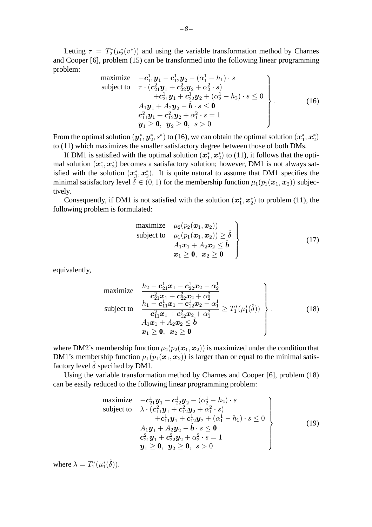Letting  $\tau = T_2^*(\mu_2^*(v^*))$  and using the variable transformation method by Charnes and Cooper [6], problem (15) can be transformed into the following linear programming problem:

maximize 
$$
-c_{11}^1 y_1 - c_{12}^1 y_2 - (\alpha_1^1 - h_1) \cdot s
$$
  
\nsubject to  $\tau \cdot (c_{21}^2 y_1 + c_{22}^2 y_2 + \alpha_2^2 \cdot s)$   
\n $+ c_{21}^1 y_1 + c_{22}^1 y_2 + (\alpha_2^1 - h_2) \cdot s \le 0$   
\n $A_1 y_1 + A_2 y_2 - \hat{b} \cdot s \le 0$   
\n $c_{11}^2 y_1 + c_{12}^2 y_2 + \alpha_1^2 \cdot s = 1$   
\n $y_1 \ge 0, y_2 \ge 0, s > 0$  (16)

From the optimal solution  $(\bm y_1^*,\bm y_2^*,s^*)$  to (16), we can obtain the optimal solution  $(\bm x_1^*,\bm x_2^*)$ to (11) which maximizes the smaller satisfactory degree between those of both DMs.

If DM1 is satisfied with the optimal solution  $(x_1^*, x_2^*)$  to (11), it follows that the optimal solution  $(x_1^*, x_2^*)$  becomes a satisfactory solution; however, DM1 is not always satisfied with the solution  $(x_1^*, x_2^*)$ . It is quite natural to assume that DM1 specifies the minimal satisfactory level  $\hat{\delta} \in (0,1)$  for the membership function  $\mu_1(p_1(\bm{x}_1, \bm{x}_2))$  subjectively.

Consequently, if DM1 is not satisfied with the solution  $(x_1^*, x_2^*)$  to problem (11), the following problem is formulated:

maximize 
$$
\mu_2(p_2(\boldsymbol{x}_1, \boldsymbol{x}_2))
$$
  
\nsubject to  $\mu_1(p_1(\boldsymbol{x}_1, \boldsymbol{x}_2)) \ge \hat{\delta}$   
\n $A_1 \boldsymbol{x}_1 + A_2 \boldsymbol{x}_2 \le \hat{\boldsymbol{b}}$   
\n $\boldsymbol{x}_1 \ge \boldsymbol{0}, \ \boldsymbol{x}_2 \ge \boldsymbol{0}$  (17)

equivalently,

maximize 
$$
\begin{cases}\n\frac{h_2 - c_{21}^1 x_1 - c_{22}^1 x_2 - \alpha_2^1}{c_{21}^2 x_1 + c_{22}^2 x_2 + \alpha_2^2} \\
\text{subject to} \quad \frac{h_1 - c_{11}^1 x_1 - c_{12}^1 x_2 - \alpha_1^1}{c_{11}^2 x_1 + c_{12}^2 x_2 + \alpha_1^2} \geq T_1^*(\mu_1^*(\hat{\delta})) \\
A_1 x_1 + A_2 x_2 \leq \hat{b} \\
x_1 \geq 0, \quad x_2 \geq 0\n\end{cases}
$$
\n(18)

where DM2's membership function  $\mu_2(p_2(\mathbf{x}_1, \mathbf{x}_2))$  is maximized under the condition that DM1's membership function  $\mu_1(p_1(x_1, x_2))$  is larger than or equal to the minimal satisfactory level  $\hat{\delta}$  specified by DM1.

Using the variable transformation method by Charnes and Cooper [6], problem (18) can be easily reduced to the following linear programming problem:

maximize 
$$
-c_{21}^1 y_1 - c_{22}^1 y_2 - (\alpha_2^1 - h_2) \cdot s
$$
  
\nsubject to  $\lambda \cdot (c_{11}^2 y_1 + c_{12}^2 y_2 + \alpha_1^2 \cdot s)$   
\n $+ c_{11}^1 y_1 + c_{12}^1 y_2 + (\alpha_1^1 - h_1) \cdot s \le 0$   
\n $A_1 y_1 + A_2 y_2 - \hat{b} \cdot s \le 0$   
\n $c_{21}^2 y_1 + c_{22}^2 y_2 + \alpha_2^2 \cdot s = 1$   
\n $y_1 \ge 0, y_2 \ge 0, s > 0$  (19)

where  $\lambda = T_1^*(\mu_1^*(\hat{\delta})).$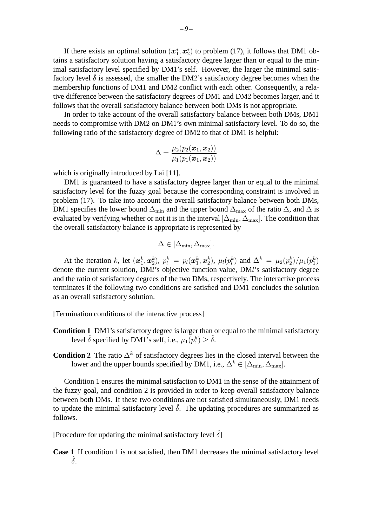If there exists an optimal solution  $(x_1^*, x_2^*)$  to problem (17), it follows that DM1 obtains a satisfactory solution having a satisfactory degree larger than or equal to the minimal satisfactory level specified by DM1's self. However, the larger the minimal satisfactory level  $\hat{\delta}$  is assessed, the smaller the DM2's satisfactory degree becomes when the membership functions of DM1 and DM2 conflict with each other. Consequently, a relative difference between the satisfactory degrees of DM1 and DM2 becomes larger, and it follows that the overall satisfactory balance between both DMs is not appropriate.

In order to take account of the overall satisfactory balance between both DMs, DM1 needs to compromise with DM2 on DM1's own minimal satisfactory level. To do so, the following ratio of the satisfactory degree of DM2 to that of DM1 is helpful:

$$
\Delta=\frac{\mu_2(p_2(\boldsymbol{x}_1,\boldsymbol{x}_2))}{\mu_1(p_1(\boldsymbol{x}_1,\boldsymbol{x}_2))}
$$

which is originally introduced by Lai [11].

DM1 is guaranteed to have a satisfactory degree larger than or equal to the minimal satisfactory level for the fuzzy goal because the corresponding constraint is involved in problem (17). To take into account the overall satisfactory balance between both DMs, DM1 specifies the lower bound  $\Delta_{\text{min}}$  and the upper bound  $\Delta_{\text{max}}$  of the ratio  $\Delta$ , and  $\Delta$  is evaluated by verifying whether or not it is in the interval  $[\Delta_{\min}, \Delta_{\max}]$ . The condition that the overall satisfactory balance is appropriate is represented by

$$
\Delta \in [\Delta_{\min}, \Delta_{\max}].
$$

At the iteration k, let  $(\mathbf{x}_1^k, \mathbf{x}_2^k)$ ,  $p_l^k = p_l(\mathbf{x}_1^k, \mathbf{x}_2^k)$ ,  $\mu_l(p_l^k)$  and  $\Delta^k = \mu_2(p_2^k)/\mu_1(p_1^k)$ denote the current solution, DMl's objective function value, DMl's satisfactory degree and the ratio of satisfactory degrees of the two DMs, respectively. The interactive process terminates if the following two conditions are satisfied and DM1 concludes the solution as an overall satisfactory solution.

[Termination conditions of the interactive process]

- **Condition 1** DM1's satisfactory degree is larger than or equal to the minimal satisfactory level  $\hat{\delta}$  specified by DM1's self, i.e.,  $\mu_1(p_1^k) \geq \hat{\delta}$ .
- **Condition 2** The ratio  $\Delta^k$  of satisfactory degrees lies in the closed interval between the lower and the upper bounds specified by DM1, i.e.,  $\Delta^k \in [\Delta_{\min}, \Delta_{\max}]$ .

Condition 1 ensures the minimal satisfaction to DM1 in the sense of the attainment of the fuzzy goal, and condition 2 is provided in order to keep overall satisfactory balance between both DMs. If these two conditions are not satisfied simultaneously, DM1 needs to update the minimal satisfactory level  $\hat{\delta}$ . The updating procedures are summarized as follows.

[Procedure for updating the minimal satisfactory level  $\hat{\delta}$ ]

**Case 1** If condition 1 is not satisfied, then DM1 decreases the minimal satisfactory level  $\hat{\delta}$ .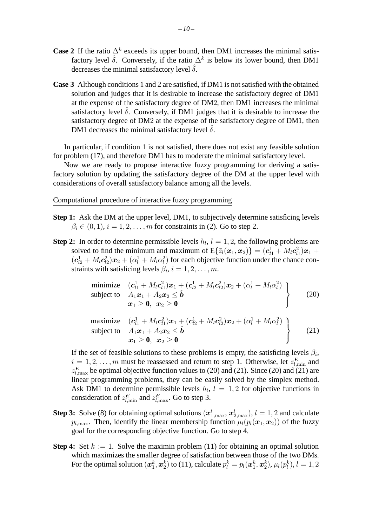- **Case 2** If the ratio  $\Delta^k$  exceeds its upper bound, then DM1 increases the minimal satisfactory level  $\hat{\delta}$ . Conversely, if the ratio  $\Delta^k$  is below its lower bound, then DM1 decreases the minimal satisfactory level  $\hat{\delta}$ .
- **Case 3** Although conditions 1 and 2 are satisfied, if DM1 is not satisfied with the obtained solution and judges that it is desirable to increase the satisfactory degree of DM1 at the expense of the satisfactory degree of DM2, then DM1 increases the minimal satisfactory level  $\delta$ . Conversely, if DM1 judges that it is desirable to increase the satisfactory degree of DM2 at the expense of the satisfactory degree of DM1, then DM1 decreases the minimal satisfactory level  $\delta$ .

In particular, if condition 1 is not satisfied, there does not exist any feasible solution for problem (17), and therefore DM1 has to moderate the minimal satisfactory level.

Now we are ready to propose interactive fuzzy programming for deriving a satisfactory solution by updating the satisfactory degree of the DM at the upper level with considerations of overall satisfactory balance among all the levels.

Computational procedure of interactive fuzzy programming

- **Step 1:** Ask the DM at the upper level, DM1, to subjectively determine satisficing levels  $\beta_i \in (0, 1), i = 1, 2, \ldots, m$  for constraints in (2). Go to step 2.
- **Step 2:** In order to determine permissible levels  $h_l$ ,  $l = 1, 2$ , the following problems are solved to find the minimum and maximum of  $E\{\bar{z}_l(\bm{x}_1,\bm{x}_2)\} = (\bm{c}_{l1}^1 + M_l \bm{c}_{l1}^2)\bm{x}_1 +$  $(c_{l2}^1 + M_l c_{l2}^2)x_2 + (\alpha_l^1 + M_l \alpha_l^2)$  for each objective function under the chance constraints with satisficing levels  $\beta_i$ ,  $i = 1, 2, \ldots, m$ .

minimize 
$$
(\mathbf{c}_{l1}^1 + M_l \mathbf{c}_{l1}^2) \mathbf{x}_1 + (\mathbf{c}_{l2}^1 + M_l \mathbf{c}_{l2}^2) \mathbf{x}_2 + (\alpha_l^1 + M_l \alpha_l^2)
$$
  
\nsubject to  $A_1 \mathbf{x}_1 + A_2 \mathbf{x}_2 \leq \hat{\mathbf{b}}$   
\n $\mathbf{x}_1 \geq \mathbf{0}, \ \mathbf{x}_2 \geq \mathbf{0}$  (20)

maximize 
$$
(\mathbf{c}_{l1}^1 + M_l \mathbf{c}_{l1}^2) \mathbf{x}_1 + (\mathbf{c}_{l2}^1 + M_l \mathbf{c}_{l2}^2) \mathbf{x}_2 + (\alpha_l^1 + M_l \alpha_l^2)
$$
  
\nsubject to  $A_1 \mathbf{x}_1 + A_2 \mathbf{x}_2 \leq \hat{\mathbf{b}}$   
\n $\mathbf{x}_1 \geq \mathbf{0}, \ \mathbf{x}_2 \geq \mathbf{0}$  (21)

If the set of feasible solutions to these problems is empty, the satisficing levels  $\beta_i$ ,  $i = 1, 2, \dots, m$  must be reassessed and return to step 1. Otherwise, let  $z_{l, \text{min}}^E$  and  $z_{l,\text{max}}^E$  be optimal objective function values to (20) and (21). Since (20) and (21) are linear programming problems, they can be easily solved by the simplex method. Ask DM1 to determine permissible levels  $h_l$ ,  $l = 1, 2$  for objective functions in consideration of  $z_{l,\min}^E$  and  $z_{l,\max}^E$ . Go to step 3.

- **Step 3:** Solve (8) for obtaining optimal solutions  $(\boldsymbol{x}_{1,\text{max}}^l, \boldsymbol{x}_{2,\text{max}}^l), l = 1, 2$  and calculate  $p_{l,\text{max}}$ . Then, identify the linear membership function  $\mu_l(p_l(\bm{x}_1, \bm{x}_2))$  of the fuzzy goal for the corresponding objective function. Go to step 4.
- **Step 4:** Set  $k := 1$ . Solve the maximin problem (11) for obtaining an optimal solution which maximizes the smaller degree of satisfaction between those of the two DMs. For the optimal solution  $(\bm x_1^k,\bm x_2^k)$  to (11), calculate  $p_l^k=p_l(\bm x_1^k,\bm x_2^k),\mu_l(p_l^k),l=1,2$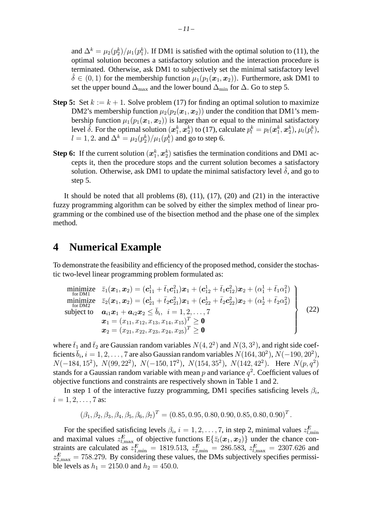and  $\Delta^k = \mu_2(p_2^k)/\mu_1(p_1^k)$ . If DM1 is satisfied with the optimal solution to (11), the optimal solution becomes a satisfactory solution and the interaction procedure is terminated. Otherwise, ask DM1 to subjectively set the minimal satisfactory level  $\hat{\delta} \in (0, 1)$  for the membership function  $\mu_1(p_1(x_1, x_2))$ . Furthermore, ask DM1 to set the upper bound  $\Delta_{\text{max}}$  and the lower bound  $\Delta_{\text{min}}$  for  $\Delta$ . Go to step 5.

- **Step 5:** Set  $k := k + 1$ . Solve problem (17) for finding an optimal solution to maximize DM2's membership function  $\mu_2(p_2(x_1, x_2))$  under the condition that DM1's membership function  $\mu_1(p_1(x_1, x_2))$  is larger than or equal to the minimal satisfactory level  $\hat{\delta}$ . For the optimal solution  $(x_1^k, x_2^k)$  to (17), calculate  $p_l^k = p_l(x_1^k, x_2^k)$ ,  $\mu_l(p_l^k)$ ,  $l = 1, 2$ . and  $\Delta^k = \mu_2(p_2^k)/\mu_1(p_1^k)$  and go to step 6.
- **Step 6:** If the current solution  $(x_1^k, x_2^k)$  satisfies the termination conditions and DM1 accepts it, then the procedure stops and the current solution becomes a satisfactory solution. Otherwise, ask DM1 to update the minimal satisfactory level  $\hat{\delta}$ , and go to step 5.

It should be noted that all problems  $(8)$ ,  $(11)$ ,  $(17)$ ,  $(20)$  and  $(21)$  in the interactive fuzzy programming algorithm can be solved by either the simplex method of linear programming or the combined use of the bisection method and the phase one of the simplex method.

# **4 Numerical Example**

To demonstrate the feasibility and efficiency of the proposed method, consider the stochastic two-level linear programming problem formulated as:

minimize 
$$
\bar{z}_1(\boldsymbol{x}_1, \boldsymbol{x}_2) = (\boldsymbol{c}_{11}^1 + \bar{t}_1 \boldsymbol{c}_{11}^2) \boldsymbol{x}_1 + (\boldsymbol{c}_{12}^1 + \bar{t}_1 \boldsymbol{c}_{12}^2) \boldsymbol{x}_2 + (\alpha_1^1 + \bar{t}_1 \alpha_1^2)
$$
  
\nminimize  $\bar{z}_2(\boldsymbol{x}_1, \boldsymbol{x}_2) = (\boldsymbol{c}_{21}^1 + \bar{t}_2 \boldsymbol{c}_{21}^2) \boldsymbol{x}_1 + (\boldsymbol{c}_{22}^1 + \bar{t}_2 \boldsymbol{c}_{22}^2) \boldsymbol{x}_2 + (\alpha_2^1 + \bar{t}_2 \alpha_2^2)$   
\nsubject to  $\boldsymbol{a}_{i1} \boldsymbol{x}_1 + \boldsymbol{a}_{i2} \boldsymbol{x}_2 \le \bar{b}_i$ ,  $i = 1, 2, ..., 7$   
\n $\boldsymbol{x}_1 = (x_{11}, x_{12}, x_{13}, x_{14}, x_{15})^T \ge \mathbf{0}$   
\n $\boldsymbol{x}_2 = (x_{21}, x_{22}, x_{23}, x_{24}, x_{25})^T \ge \mathbf{0}$ 

where  $\bar{t}_1$  and  $\bar{t}_2$  are Gaussian random variables  $N(4, 2^2)$  and  $N(3, 3^2)$ , and right side coefficients  $\bar{b}_i$ ,  $i = 1, 2, \ldots, 7$  are also Gaussian random variables  $N(164, 30^2)$ ,  $N(-190, 20^2)$ ,  $N(-184, 15^2)$ ,  $N(99, 22^2)$ ,  $N(-150, 17^2)$ ,  $N(154, 35^2)$ ,  $N(142, 42^2)$ . Here  $N(p, q^2)$ stands for a Gaussian random variable with mean p and variance  $q^2$ . Coefficient values of objective functions and constraints are respectively shown in Table 1 and 2.

In step 1 of the interactive fuzzy programming, DM1 specifies satisficing levels  $\beta_i$ ,  $i = 1, 2, \ldots, 7$  as:

$$
(\beta_1, \beta_2, \beta_3, \beta_4, \beta_5, \beta_6, \beta_7)^T = (0.85, 0.95, 0.80, 0.90, 0.85, 0.80, 0.90)^T.
$$

For the specified satisficing levels  $\beta_i$ ,  $i = 1, 2, ..., 7$ , in step 2, minimal values  $z_{l, \text{min}}^E$ and maximal values  $z_{l,\text{max}}^E$  of objective functions  $E\{\bar{z}_l(\bm{x}_1,\bm{x}_2)\}\$  under the chance constraints are calculated as  $z_{1,\text{min}}^E = 1819.513$ ,  $z_{2,\text{min}}^E = 286.583$ ,  $z_{l,\text{max}}^E = 2307.626$  and  $z_{2,\text{max}}^E = 758.279$ . By considering these values, the DMs subjectively specifies permissible levels as  $h_1 = 2150.0$  and  $h_2 = 450.0$ .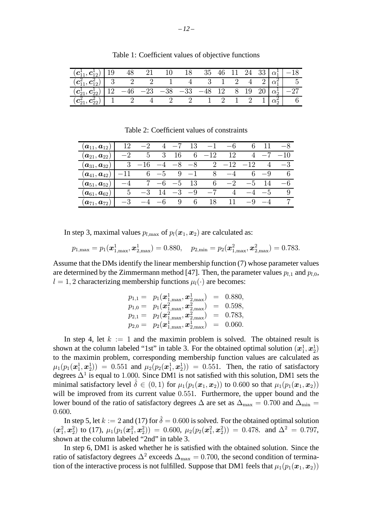| $(c_{11}^1, c_{12}^1)$   19                                               | 48 | 21 | 18 |                                                                   |  |  | 35 46 11 24 33 $\alpha_1^1$ -18                            |
|---------------------------------------------------------------------------|----|----|----|-------------------------------------------------------------------|--|--|------------------------------------------------------------|
| $\left(\overline{c_{11}^2, c_{12}^2}\right)$ 3 2 2                        |    |    |    | $\overline{4}$ $\overline{3}$ 1 2 4 2 $\left \alpha_1^2\right $ 5 |  |  |                                                            |
| $(c_{21}^1, c_{22}^1)$ 12 -46 -23 -38 -33 -48 12 8 19 20 $\alpha_2^1$ -27 |    |    |    |                                                                   |  |  |                                                            |
| $(c_{21}^2, c_{22}^2)$ 1 2 4                                              |    |    |    |                                                                   |  |  | $1 \quad 2 \quad 1 \quad 2 \quad 1 \mid \alpha_2^2 \mid 6$ |

Table 1: Coefficient values of objective functions

Table 2: Coefficient values of constraints

| $(\boldsymbol{a}_{11},\boldsymbol{a}_{12})$ | 12   |            |                 |      |      |               |       |                 |      | $-\delta$ |
|---------------------------------------------|------|------------|-----------------|------|------|---------------|-------|-----------------|------|-----------|
| $(\boldsymbol{a}_{21},\boldsymbol{a}_{22})$ |      | $\ddot{ }$ | 3               | 16   | 6    | 12            | 12    |                 |      |           |
| $(\boldsymbol{a}_{31},\boldsymbol{a}_{32})$ |      |            |                 |      |      | $\mathcal{L}$ | $-12$ | 12              | 4    | $-3$      |
| $(\boldsymbol{a}_{41},\boldsymbol{a}_{42})$ |      | 6          | $\mathfrak{c}-$ | 9    |      | $\mathsf{R}$  |       |                 | -9   |           |
| $(\boldsymbol{a}_{51},\boldsymbol{a}_{52})$ | -4   |            |                 | $-5$ | 13   | 6             | $-2$  | $\mathfrak{c}-$ | 14   | —6        |
| $(\boldsymbol{a}_{61},\boldsymbol{a}_{62})$ | .5   | $-3$       |                 | $-3$ | $-9$ |               |       | $-4$            | $-5$ |           |
| $({\bm{a}}_{71}, {\bm{a}}_{72})$            | $-3$ |            | h               | 9    | 6    | 18            | 11    |                 |      |           |

In step 3, maximal values  $p_{l,\max}$  of  $p_l(\boldsymbol{x}_1, \boldsymbol{x}_2)$  are calculated as:

$$
p_{1,\max} = p_1(\bm{x}_{1,\max}^1,\bm{x}_{2,\max}^1) = 0.880, \quad p_{2,\min} = p_2(\bm{x}_{1,\max}^2,\bm{x}_{2,\max}^2) = 0.783.
$$

Assume that the DMs identify the linear membership function (7) whose parameter values are determined by the Zimmermann method [47]. Then, the parameter values  $p_{l,1}$  and  $p_{l,0}$ ,  $l = 1, 2$  characterizing membership functions  $\mu_l(\cdot)$  are becomes:

$$
p_{1,1} = p_1(\boldsymbol{x}_{1,\max}^1, \boldsymbol{x}_{2,\max}^1) = 0.880, \np_{1,0} = p_1(\boldsymbol{x}_{1,\max}^2, \boldsymbol{x}_{2,\max}^2) = 0.598, \np_{2,1} = p_2(\boldsymbol{x}_{1,\max}^2, \boldsymbol{x}_{2,\max}^2) = 0.783, \np_{2,0} = p_2(\boldsymbol{x}_{1,\max}^1, \boldsymbol{x}_{2,\max}^1) = 0.060.
$$

In step 4, let  $k := 1$  and the maximin problem is solved. The obtained result is shown at the column labeled "1st" in table 3. For the obtained optimal solution  $(x_1^1, x_2^1)$ to the maximin problem, corresponding membership function values are calculated as  $\mu_1(p_1(\bm{x}_1^1,\bm{x}_2^1)) = 0.551$  and  $\mu_2(p_2(\bm{x}_1^1,\bm{x}_2^1)) = 0.551$ . Then, the ratio of satisfactory degrees  $\Delta^1$  is equal to 1.000. Since DM1 is not satisfied with this solution, DM1 sets the minimal satisfactory level  $\delta \in (0,1)$  for  $\mu_1(p_1(\bm{x}_1,\bm{x}_2))$  to 0.600 so that  $\mu_1(p_1(\bm{x}_1,\bm{x}_2))$ will be improved from its current value 0.551. Furthermore, the upper bound and the lower bound of the ratio of satisfactory degrees  $\Delta$  are set as  $\Delta_{\text{max}} = 0.700$  and  $\Delta_{\text{min}} =$ 0.600.

In step 5, let  $k := 2$  and (17) for  $\hat{\delta} = 0.600$  is solved. For the obtained optimal solution  $\left( \bm{x}_1^2, \bm{x}_2^2 \right)$  to (17),  $\mu_1(p_1(\bm{x}_1^2, \bm{x}_2^2)) = 0.600$ ,  $\mu_2(p_2(\bm{x}_1^2, \bm{x}_2^2)) = 0.478$ . and  $\Delta^2 = 0.797$ , shown at the column labeled "2nd" in table 3.

In step 6, DM1 is asked whether he is satisfied with the obtained solution. Since the ratio of satisfactory degrees  $\Delta^2$  exceeds  $\Delta_{\text{max}} = 0.700$ , the second condition of termination of the interactive process is not fulfilled. Suppose that DM1 feels that  $\mu_1(p_1(\bm{x}_1, \bm{x}_2))$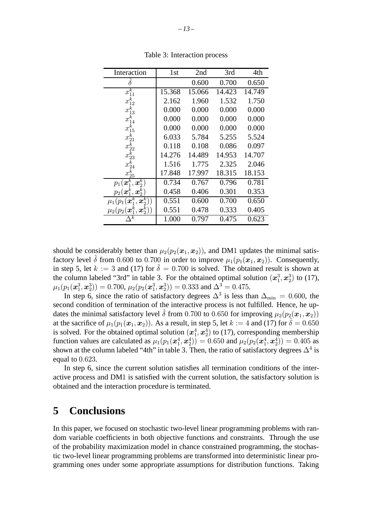| Interaction                                   | 1st    | 2nd    | 3rd    | 4th    |
|-----------------------------------------------|--------|--------|--------|--------|
|                                               |        | 0.600  | 0.700  | 0.650  |
| $x_{11}^k$                                    | 15.368 | 15.066 | 14.423 | 14.749 |
| $x_{12}^k$                                    | 2.162  | 1.960  | 1.532  | 1.750  |
| $x_{13}^k$                                    | 0.000  | 0.000  | 0.000  | 0.000  |
| $\frac{x_{14}^{\bar{k}}}{x_{15}^{\bar{k}}}$   | 0.000  | 0.000  | 0.000  | 0.000  |
|                                               | 0.000  | 0.000  | 0.000  | 0.000  |
| $x_{21}^k$                                    | 6.033  | 5.784  | 5.255  | 5.524  |
| $x_{22}^k$                                    | 0.118  | 0.108  | 0.086  | 0.097  |
| $x_{23}^{\overline{k}}$                       | 14.276 | 14.489 | 14.953 | 14.707 |
| $x_{24}^k$                                    | 1.516  | 1.775  | 2.325  | 2.046  |
| $x_{25}^{\overline{k}}$                       | 17.848 | 17.997 | 18.315 | 18.153 |
| $p_1(\boldsymbol{x}_1^k, \boldsymbol{x}_2^k)$ | 0.734  | 0.767  | 0.796  | 0.781  |
| $p_2(\boldsymbol{x}_1^k, \boldsymbol{x}_2^k)$ | 0.458  | 0.406  | 0.301  | 0.353  |
| $\mu_1(p_1(\bm{x}_1^k,\bm{x}_2^k))$           | 0.551  | 0.600  | 0.700  | 0.650  |
| $\mu_2(p_2(\bm{x}_1^k,\bm{x}_2^k))$           | 0.551  | 0.478  | 0.333  | 0.405  |
| $_{k}$                                        | 1.000  | 0.797  | 0.475  | 0.623  |

Table 3: Interaction process

should be considerably better than  $\mu_2(p_2(\mathbf{x}_1, \mathbf{x}_2))$ , and DM1 updates the minimal satisfactory level  $\delta$  from 0.600 to 0.700 in order to improve  $\mu_1(p_1(\mathbf{x}_1, \mathbf{x}_2))$ . Consequently, in step 5, let  $k := 3$  and (17) for  $\delta = 0.700$  is solved. The obtained result is shown at the column labeled "3rd" in table 3. For the obtained optimal solution  $(x_1^3, x_2^3)$  to (17),  $\mu_1(p_1(\bm{x}^3_1,\bm{x}^3_2))=0.700$ ,  $\mu_2(p_2(\bm{x}^3_1,\bm{x}^3_2))=0.333$  and  $\Delta^3=0.475$ .

In step 6, since the ratio of satisfactory degrees  $\Delta^3$  is less than  $\Delta_{\text{min}} = 0.600$ , the second condition of termination of the interactive process is not fulfilled. Hence, he updates the minimal satisfactory level  $\delta$  from 0.700 to 0.650 for improving  $\mu_2(p_2(\bm{x}_1, \bm{x}_2))$ at the sacrifice of  $\mu_1(p_1(\bm{x}_1, \bm{x}_2))$ . As a result, in step 5, let  $k := 4$  and (17) for  $\hat{\delta} = 0.650$ is solved. For the obtained optimal solution  $(x_1^4, x_2^4)$  to (17), corresponding membership function values are calculated as  $\mu_1(p_1(\mathbf{\alpha}_1^4,\mathbf{\alpha}_2^4)) = 0.650$  and  $\mu_2(p_2(\mathbf{\alpha}_1^4,\mathbf{\alpha}_2^4)) = 0.405$  as shown at the column labeled "4th" in table 3. Then, the ratio of satisfactory degrees  $\Delta^4$  is equal to 0.623.

In step 6, since the current solution satisfies all termination conditions of the interactive process and DM1 is satisfied with the current solution, the satisfactory solution is obtained and the interaction procedure is terminated.

# **5 Conclusions**

In this paper, we focused on stochastic two-level linear programming problems with random variable coefficients in both objective functions and constraints. Through the use of the probability maximization model in chance constrained programming, the stochastic two-level linear programming problems are transformed into deterministic linear programming ones under some appropriate assumptions for distribution functions. Taking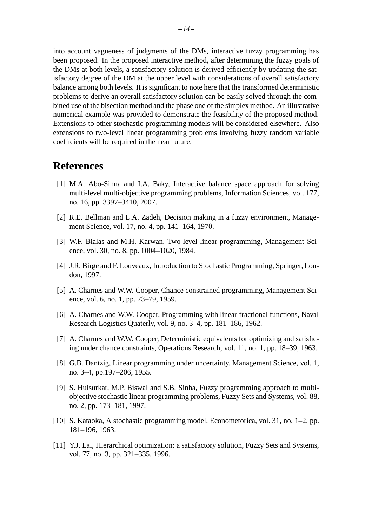into account vagueness of judgments of the DMs, interactive fuzzy programming has been proposed. In the proposed interactive method, after determining the fuzzy goals of the DMs at both levels, a satisfactory solution is derived efficiently by updating the satisfactory degree of the DM at the upper level with considerations of overall satisfactory balance among both levels. It is significant to note here that the transformed deterministic problems to derive an overall satisfactory solution can be easily solved through the combined use of the bisection method and the phase one of the simplex method. An illustrative numerical example was provided to demonstrate the feasibility of the proposed method. Extensions to other stochastic programming models will be considered elsewhere. Also extensions to two-level linear programming problems involving fuzzy random variable coefficients will be required in the near future.

# **References**

- [1] M.A. Abo-Sinna and I.A. Baky, Interactive balance space approach for solving multi-level multi-objective programming problems, Information Sciences, vol. 177, no. 16, pp. 3397–3410, 2007.
- [2] R.E. Bellman and L.A. Zadeh, Decision making in a fuzzy environment, Management Science, vol. 17, no. 4, pp. 141–164, 1970.
- [3] W.F. Bialas and M.H. Karwan, Two-level linear programming, Management Science, vol. 30, no. 8, pp. 1004–1020, 1984.
- [4] J.R. Birge and F. Louveaux, Introduction to Stochastic Programming, Springer, London, 1997.
- [5] A. Charnes and W.W. Cooper, Chance constrained programming, Management Science, vol. 6, no. 1, pp. 73–79, 1959.
- [6] A. Charnes and W.W. Cooper, Programming with linear fractional functions, Naval Research Logistics Quaterly, vol. 9, no. 3–4, pp. 181–186, 1962.
- [7] A. Charnes and W.W. Cooper, Deterministic equivalents for optimizing and satisficing under chance constraints, Operations Research, vol. 11, no. 1, pp. 18–39, 1963.
- [8] G.B. Dantzig, Linear programming under uncertainty, Management Science, vol. 1, no. 3–4, pp.197–206, 1955.
- [9] S. Hulsurkar, M.P. Biswal and S.B. Sinha, Fuzzy programming approach to multiobjective stochastic linear programming problems, Fuzzy Sets and Systems, vol. 88, no. 2, pp. 173–181, 1997.
- [10] S. Kataoka, A stochastic programming model, Econometorica, vol. 31, no. 1–2, pp. 181–196, 1963.
- [11] Y.J. Lai, Hierarchical optimization: a satisfactory solution, Fuzzy Sets and Systems, vol. 77, no. 3, pp. 321–335, 1996.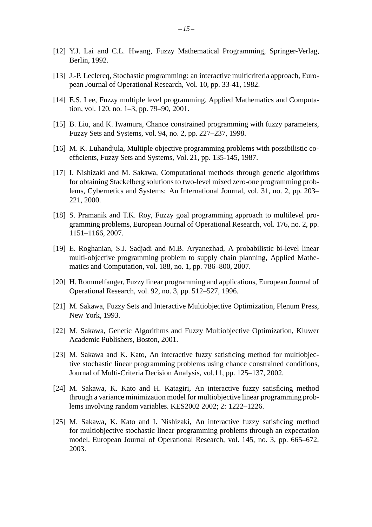- [12] Y.J. Lai and C.L. Hwang, Fuzzy Mathematical Programming, Springer-Verlag, Berlin, 1992.
- [13] J.-P. Leclercq, Stochastic programming: an interactive multicriteria approach, European Journal of Operational Research, Vol. 10, pp. 33-41, 1982.
- [14] E.S. Lee, Fuzzy multiple level programming, Applied Mathematics and Computation, vol. 120, no. 1–3, pp. 79–90, 2001.
- [15] B. Liu, and K. Iwamura, Chance constrained programming with fuzzy parameters, Fuzzy Sets and Systems, vol. 94, no. 2, pp. 227–237, 1998.
- [16] M. K. Luhandjula, Multiple objective programming problems with possibilistic coefficients, Fuzzy Sets and Systems, Vol. 21, pp. 135-145, 1987.
- [17] I. Nishizaki and M. Sakawa, Computational methods through genetic algorithms for obtaining Stackelberg solutions to two-level mixed zero-one programming problems, Cybernetics and Systems: An International Journal, vol. 31, no. 2, pp. 203– 221, 2000.
- [18] S. Pramanik and T.K. Roy, Fuzzy goal programming approach to multilevel programming problems, European Journal of Operational Research, vol. 176, no. 2, pp. 1151–1166, 2007.
- [19] E. Roghanian, S.J. Sadjadi and M.B. Aryanezhad, A probabilistic bi-level linear multi-objective programming problem to supply chain planning, Applied Mathematics and Computation, vol. 188, no. 1, pp. 786–800, 2007.
- [20] H. Rommelfanger, Fuzzy linear programming and applications, European Journal of Operational Research, vol. 92, no. 3, pp. 512–527, 1996.
- [21] M. Sakawa, Fuzzy Sets and Interactive Multiobjective Optimization, Plenum Press, New York, 1993.
- [22] M. Sakawa, Genetic Algorithms and Fuzzy Multiobjective Optimization, Kluwer Academic Publishers, Boston, 2001.
- [23] M. Sakawa and K. Kato, An interactive fuzzy satisficing method for multiobjective stochastic linear programming problems using chance constrained conditions, Journal of Multi-Criteria Decision Analysis, vol.11, pp. 125–137, 2002.
- [24] M. Sakawa, K. Kato and H. Katagiri, An interactive fuzzy satisficing method through a variance minimization model for multiobjective linear programming problems involving random variables. KES2002 2002; 2: 1222–1226.
- [25] M. Sakawa, K. Kato and I. Nishizaki, An interactive fuzzy satisficing method for multiobjective stochastic linear programming problems through an expectation model. European Journal of Operational Research, vol. 145, no. 3, pp. 665–672, 2003.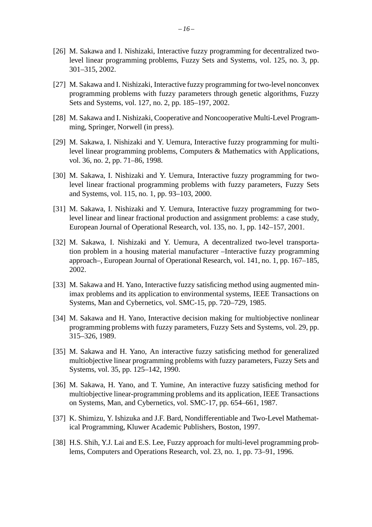- [26] M. Sakawa and I. Nishizaki, Interactive fuzzy programming for decentralized twolevel linear programming problems, Fuzzy Sets and Systems, vol. 125, no. 3, pp. 301–315, 2002.
- [27] M. Sakawa and I. Nishizaki, Interactive fuzzy programming for two-level nonconvex programming problems with fuzzy parameters through genetic algorithms, Fuzzy Sets and Systems, vol. 127, no. 2, pp. 185–197, 2002.
- [28] M. Sakawa and I. Nishizaki, Cooperative and Noncooperative Multi-Level Programming, Springer, Norwell (in press).
- [29] M. Sakawa, I. Nishizaki and Y. Uemura, Interactive fuzzy programming for multilevel linear programming problems, Computers & Mathematics with Applications, vol. 36, no. 2, pp. 71–86, 1998.
- [30] M. Sakawa, I. Nishizaki and Y. Uemura, Interactive fuzzy programming for twolevel linear fractional programming problems with fuzzy parameters, Fuzzy Sets and Systems, vol. 115, no. 1, pp. 93–103, 2000.
- [31] M. Sakawa, I. Nishizaki and Y. Uemura, Interactive fuzzy programming for twolevel linear and linear fractional production and assignment problems: a case study, European Journal of Operational Research, vol. 135, no. 1, pp. 142–157, 2001.
- [32] M. Sakawa, I. Nishizaki and Y. Uemura, A decentralized two-level transportation problem in a housing material manufacturer –Interactive fuzzy programming approach–, European Journal of Operational Research, vol. 141, no. 1, pp. 167–185, 2002.
- [33] M. Sakawa and H. Yano, Interactive fuzzy satisficing method using augmented minimax problems and its application to environmental systems, IEEE Transactions on Systems, Man and Cybernetics, vol. SMC-15, pp. 720–729, 1985.
- [34] M. Sakawa and H. Yano, Interactive decision making for multiobjective nonlinear programming problems with fuzzy parameters, Fuzzy Sets and Systems, vol. 29, pp. 315–326, 1989.
- [35] M. Sakawa and H. Yano, An interactive fuzzy satisficing method for generalized multiobjective linear programming problems with fuzzy parameters, Fuzzy Sets and Systems, vol. 35, pp. 125–142, 1990.
- [36] M. Sakawa, H. Yano, and T. Yumine, An interactive fuzzy satisficing method for multiobjective linear-programming problems and its application, IEEE Transactions on Systems, Man, and Cybernetics, vol. SMC-17, pp. 654–661, 1987.
- [37] K. Shimizu, Y. Ishizuka and J.F. Bard, Nondifferentiable and Two-Level Mathematical Programming, Kluwer Academic Publishers, Boston, 1997.
- [38] H.S. Shih, Y.J. Lai and E.S. Lee, Fuzzy approach for multi-level programming problems, Computers and Operations Research, vol. 23, no. 1, pp. 73–91, 1996.